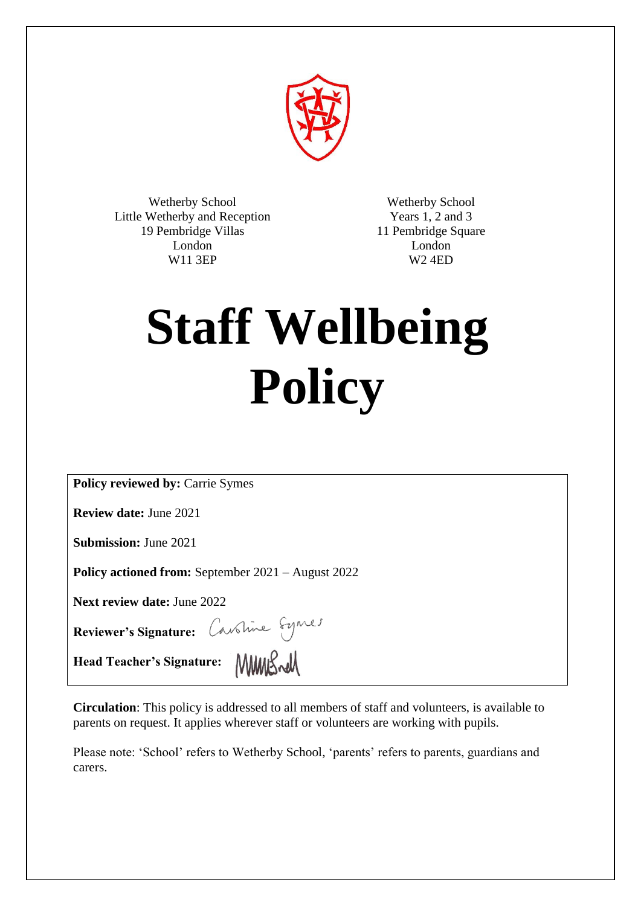

Wetherby School Little Wetherby and Reception 19 Pembridge Villas London W11 3EP

Wetherby School Years 1, 2 and 3 11 Pembridge Square London W2 4ED

# **Staff Wellbeing Policy**

**Policy reviewed by:** Carrie Symes

**Review date:** June 2021

**Submission:** June 2021

**Policy actioned from:** September 2021 – August 2022

**Next review date:** June 2022

**Reviewer's Signature:** 

**Head Teacher's Signature:** 

**Circulation**: This policy is addressed to all members of staff and volunteers, is available to parents on request. It applies wherever staff or volunteers are working with pupils.

Please note: 'School' refers to Wetherby School, 'parents' refers to parents, guardians and carers.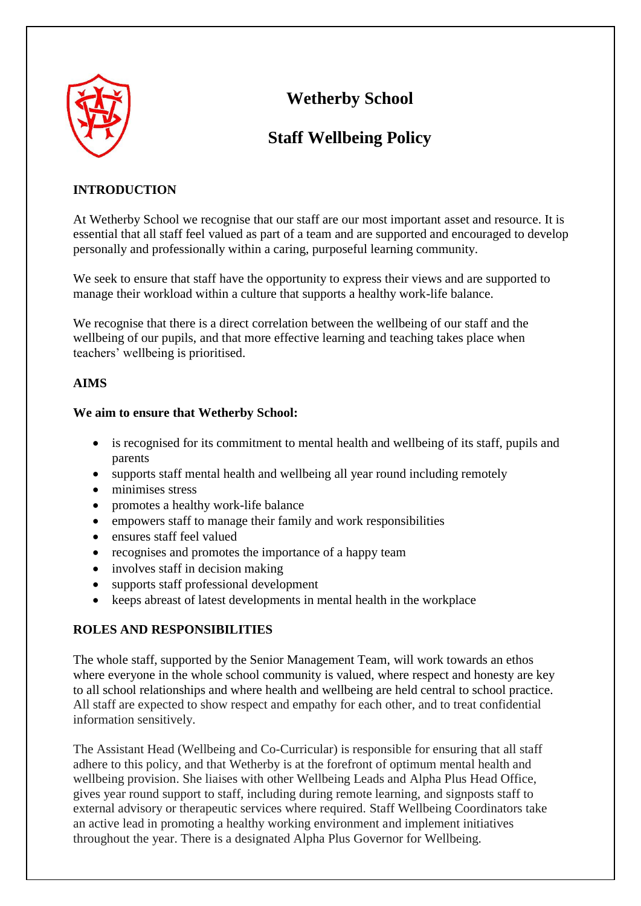

# **Wetherby School**

# **Staff Wellbeing Policy**

## **INTRODUCTION**

At Wetherby School we recognise that our staff are our most important asset and resource. It is essential that all staff feel valued as part of a team and are supported and encouraged to develop personally and professionally within a caring, purposeful learning community.

We seek to ensure that staff have the opportunity to express their views and are supported to manage their workload within a culture that supports a healthy work-life balance.

We recognise that there is a direct correlation between the wellbeing of our staff and the wellbeing of our pupils, and that more effective learning and teaching takes place when teachers' wellbeing is prioritised.

#### **AIMS**

#### **We aim to ensure that Wetherby School:**

- is recognised for its commitment to mental health and wellbeing of its staff, pupils and parents
- supports staff mental health and wellbeing all year round including remotely
- minimises stress
- promotes a healthy work-life balance
- empowers staff to manage their family and work responsibilities
- ensures staff feel valued
- recognises and promotes the importance of a happy team
- involves staff in decision making
- supports staff professional development
- keeps abreast of latest developments in mental health in the workplace

### **ROLES AND RESPONSIBILITIES**

The whole staff, supported by the Senior Management Team, will work towards an ethos where everyone in the whole school community is valued, where respect and honesty are key to all school relationships and where health and wellbeing are held central to school practice. All staff are expected to show respect and empathy for each other, and to treat confidential information sensitively.

The Assistant Head (Wellbeing and Co-Curricular) is responsible for ensuring that all staff adhere to this policy, and that Wetherby is at the forefront of optimum mental health and wellbeing provision. She liaises with other Wellbeing Leads and Alpha Plus Head Office, gives year round support to staff, including during remote learning, and signposts staff to external advisory or therapeutic services where required. Staff Wellbeing Coordinators take an active lead in promoting a healthy working environment and implement initiatives throughout the year. There is a designated Alpha Plus Governor for Wellbeing.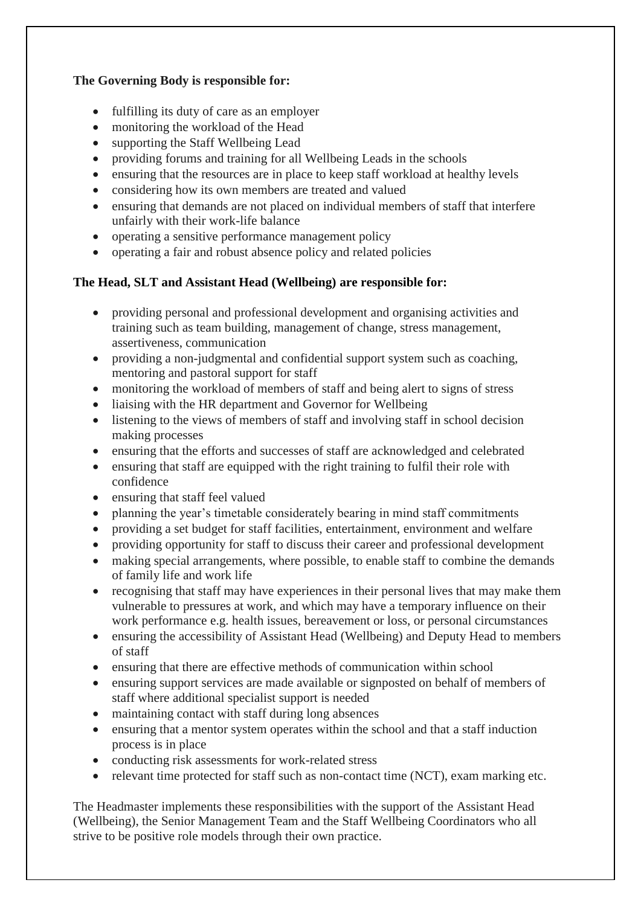#### **The Governing Body is responsible for:**

- fulfilling its duty of care as an employer
- monitoring the workload of the Head
- supporting the Staff Wellbeing Lead
- providing forums and training for all Wellbeing Leads in the schools
- ensuring that the resources are in place to keep staff workload at healthy levels
- considering how its own members are treated and valued
- ensuring that demands are not placed on individual members of staff that interfere unfairly with their work-life balance
- operating a sensitive performance management policy
- operating a fair and robust absence policy and related policies

# **The Head, SLT and Assistant Head (Wellbeing) are responsible for:**

- providing personal and professional development and organising activities and training such as team building, management of change, stress management, assertiveness, communication
- providing a non-judgmental and confidential support system such as coaching, mentoring and pastoral support for staff
- monitoring the workload of members of staff and being alert to signs of stress
- liaising with the HR department and Governor for Wellbeing
- listening to the views of members of staff and involving staff in school decision making processes
- ensuring that the efforts and successes of staff are acknowledged and celebrated
- ensuring that staff are equipped with the right training to fulfil their role with confidence
- ensuring that staff feel valued
- planning the year's timetable considerately bearing in mind staff commitments
- providing a set budget for staff facilities, entertainment, environment and welfare
- providing opportunity for staff to discuss their career and professional development
- making special arrangements, where possible, to enable staff to combine the demands of family life and work life
- recognising that staff may have experiences in their personal lives that may make them vulnerable to pressures at work, and which may have a temporary influence on their work performance e.g. health issues, bereavement or loss, or personal circumstances
- ensuring the accessibility of Assistant Head (Wellbeing) and Deputy Head to members of staff
- ensuring that there are effective methods of communication within school
- ensuring support services are made available or signposted on behalf of members of staff where additional specialist support is needed
- maintaining contact with staff during long absences
- ensuring that a mentor system operates within the school and that a staff induction process is in place
- conducting risk assessments for work-related stress
- relevant time protected for staff such as non-contact time (NCT), exam marking etc.

The Headmaster implements these responsibilities with the support of the Assistant Head (Wellbeing), the Senior Management Team and the Staff Wellbeing Coordinators who all strive to be positive role models through their own practice.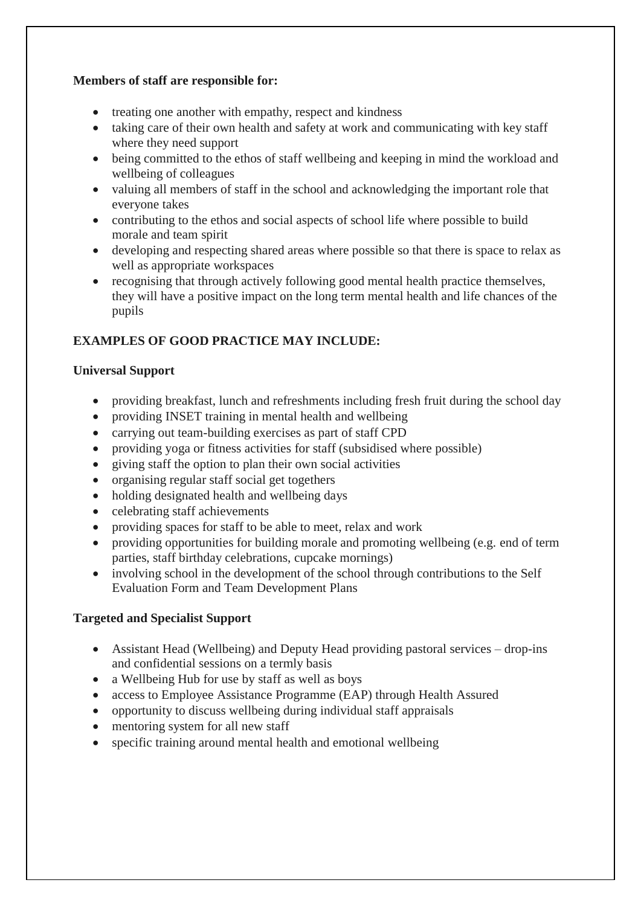#### **Members of staff are responsible for:**

- treating one another with empathy, respect and kindness
- taking care of their own health and safety at work and communicating with key staff where they need support
- being committed to the ethos of staff wellbeing and keeping in mind the workload and wellbeing of colleagues
- valuing all members of staff in the school and acknowledging the important role that everyone takes
- contributing to the ethos and social aspects of school life where possible to build morale and team spirit
- developing and respecting shared areas where possible so that there is space to relax as well as appropriate workspaces
- recognising that through actively following good mental health practice themselves, they will have a positive impact on the long term mental health and life chances of the pupils

# **EXAMPLES OF GOOD PRACTICE MAY INCLUDE:**

#### **Universal Support**

- providing breakfast, lunch and refreshments including fresh fruit during the school day
- providing INSET training in mental health and wellbeing
- carrying out team-building exercises as part of staff CPD
- providing yoga or fitness activities for staff (subsidised where possible)
- giving staff the option to plan their own social activities
- organising regular staff social get togethers
- holding designated health and wellbeing days
- celebrating staff achievements
- providing spaces for staff to be able to meet, relax and work
- providing opportunities for building morale and promoting wellbeing (e.g. end of term parties, staff birthday celebrations, cupcake mornings)
- involving school in the development of the school through contributions to the Self Evaluation Form and Team Development Plans

#### **Targeted and Specialist Support**

- Assistant Head (Wellbeing) and Deputy Head providing pastoral services drop-ins and confidential sessions on a termly basis
- a Wellbeing Hub for use by staff as well as boys
- access to Employee Assistance Programme (EAP) through Health Assured
- opportunity to discuss wellbeing during individual staff appraisals
- mentoring system for all new staff
- specific training around mental health and emotional wellbeing